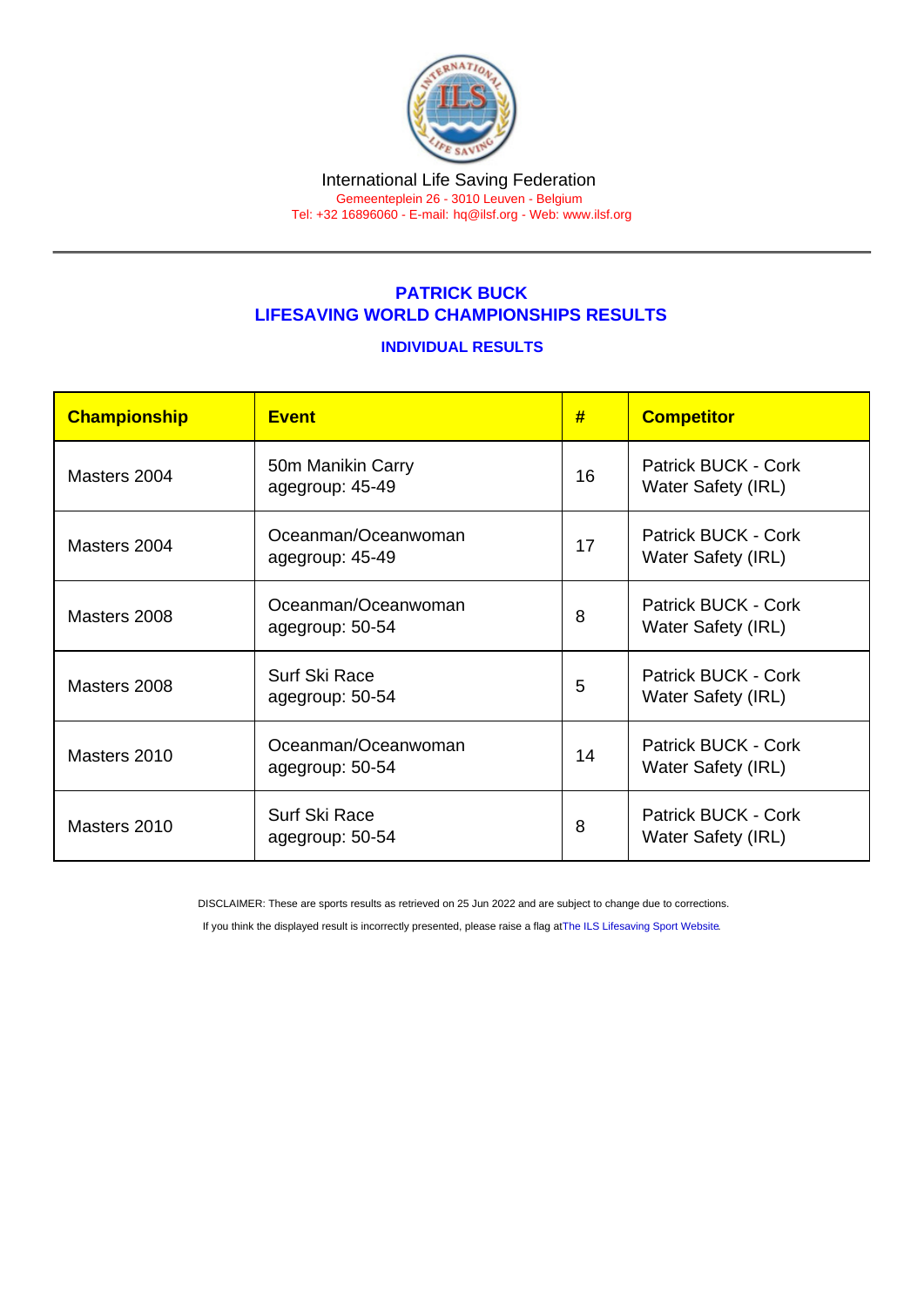#### International Life Saving Federation Gemeenteplein 26 - 3010 Leuven - Belgium

Tel: +32 16896060 - E-mail: [hq@ilsf.org](mailto:hq@ilsf.org) - Web: [www.ilsf.org](https://www.ilsf.org)

## PATRICK BUCK LIFESAVING WORLD CHAMPIONSHIPS RESULTS

#### INDIVIDUAL RESULTS

| Championship | <b>Event</b>                           | #  | <b>Competitor</b>                                |
|--------------|----------------------------------------|----|--------------------------------------------------|
| Masters 2004 | 50m Manikin Carry<br>agegroup: 45-49   | 16 | Patrick BUCK - Cork<br>Water Safety (IRL)        |
| Masters 2004 | Oceanman/Oceanwoman<br>agegroup: 45-49 | 17 | Patrick BUCK - Cork<br>Water Safety (IRL)        |
| Masters 2008 | Oceanman/Oceanwoman<br>agegroup: 50-54 | 8  | Patrick BUCK - Cork<br><b>Water Safety (IRL)</b> |
| Masters 2008 | Surf Ski Race<br>agegroup: 50-54       | 5  | Patrick BUCK - Cork<br><b>Water Safety (IRL)</b> |
| Masters 2010 | Oceanman/Oceanwoman<br>agegroup: 50-54 | 14 | Patrick BUCK - Cork<br><b>Water Safety (IRL)</b> |
| Masters 2010 | Surf Ski Race<br>agegroup: 50-54       | 8  | Patrick BUCK - Cork<br><b>Water Safety (IRL)</b> |

DISCLAIMER: These are sports results as retrieved on 25 Jun 2022 and are subject to change due to corrections.

If you think the displayed result is incorrectly presented, please raise a flag at [The ILS Lifesaving Sport Website.](https://sport.ilsf.org)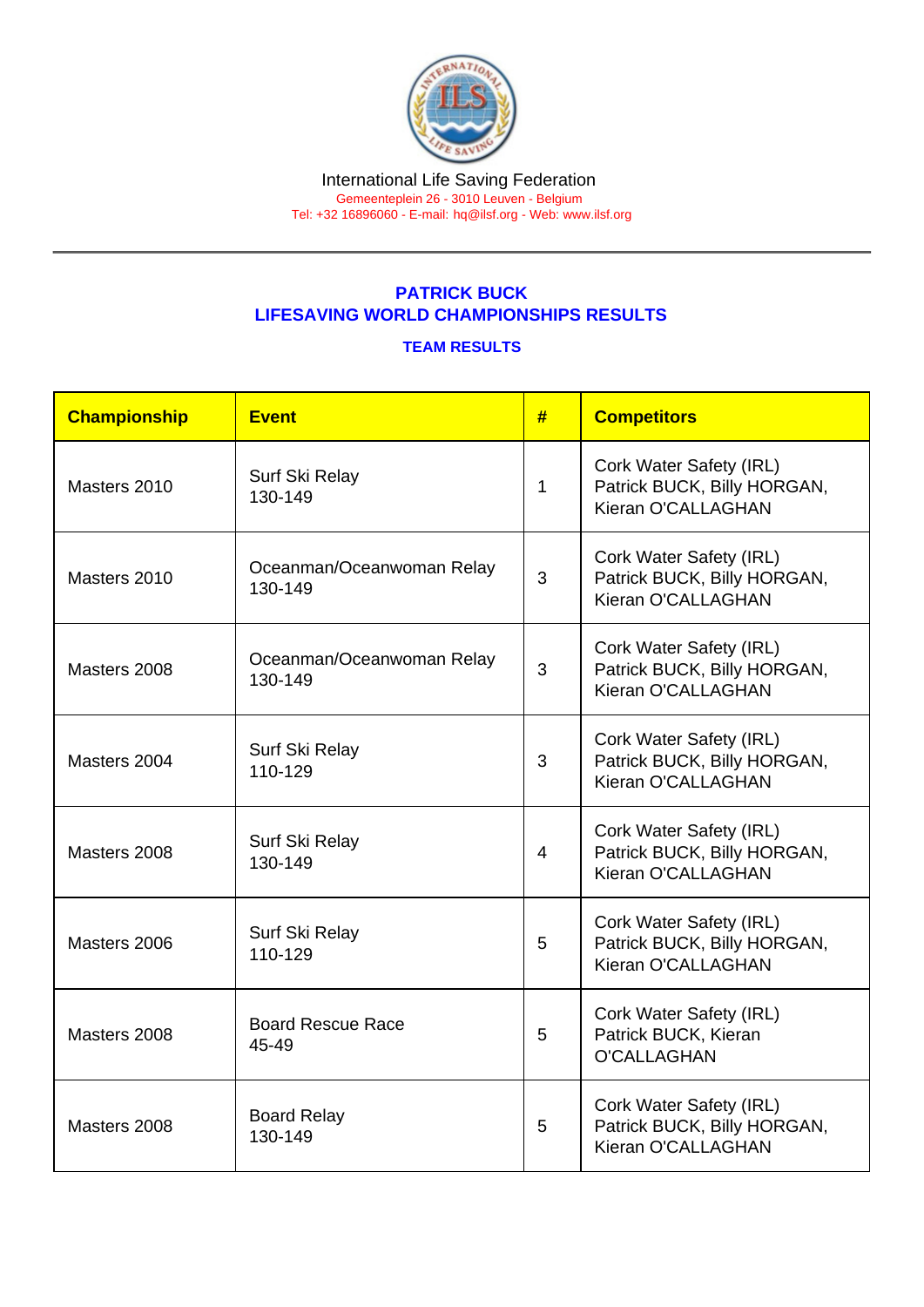# PATRICK BUCK LIFESAVING WORLD CHAMPIONSHIPS RESULTS

### TEAM RESULTS

| Championship | Event                                | # | <b>Competitors</b>                                                           |
|--------------|--------------------------------------|---|------------------------------------------------------------------------------|
| Masters 2010 | Surf Ski Relay<br>130-149            | 1 | Cork Water Safety (IRL)<br>Patrick BUCK, Billy HORGAN,<br>Kieran O'CALLAGHAN |
| Masters 2010 | Oceanman/Oceanwoman Relay<br>130-149 | 3 | Cork Water Safety (IRL)<br>Patrick BUCK, Billy HORGAN,<br>Kieran O'CALLAGHAN |
| Masters 2008 | Oceanman/Oceanwoman Relay<br>130-149 | 3 | Cork Water Safety (IRL)<br>Patrick BUCK, Billy HORGAN,<br>Kieran O'CALLAGHAN |
| Masters 2004 | Surf Ski Relay<br>110-129            | 3 | Cork Water Safety (IRL)<br>Patrick BUCK, Billy HORGAN,<br>Kieran O'CALLAGHAN |
| Masters 2008 | Surf Ski Relay<br>130-149            | 4 | Cork Water Safety (IRL)<br>Patrick BUCK, Billy HORGAN,<br>Kieran O'CALLAGHAN |
| Masters 2006 | Surf Ski Relay<br>110-129            | 5 | Cork Water Safety (IRL)<br>Patrick BUCK, Billy HORGAN,<br>Kieran O'CALLAGHAN |
| Masters 2008 | <b>Board Rescue Race</b><br>45-49    | 5 | Cork Water Safety (IRL)<br>Patrick BUCK, Kieran<br><b>O'CALLAGHAN</b>        |
| Masters 2008 | <b>Board Relay</b><br>130-149        | 5 | Cork Water Safety (IRL)<br>Patrick BUCK, Billy HORGAN,<br>Kieran O'CALLAGHAN |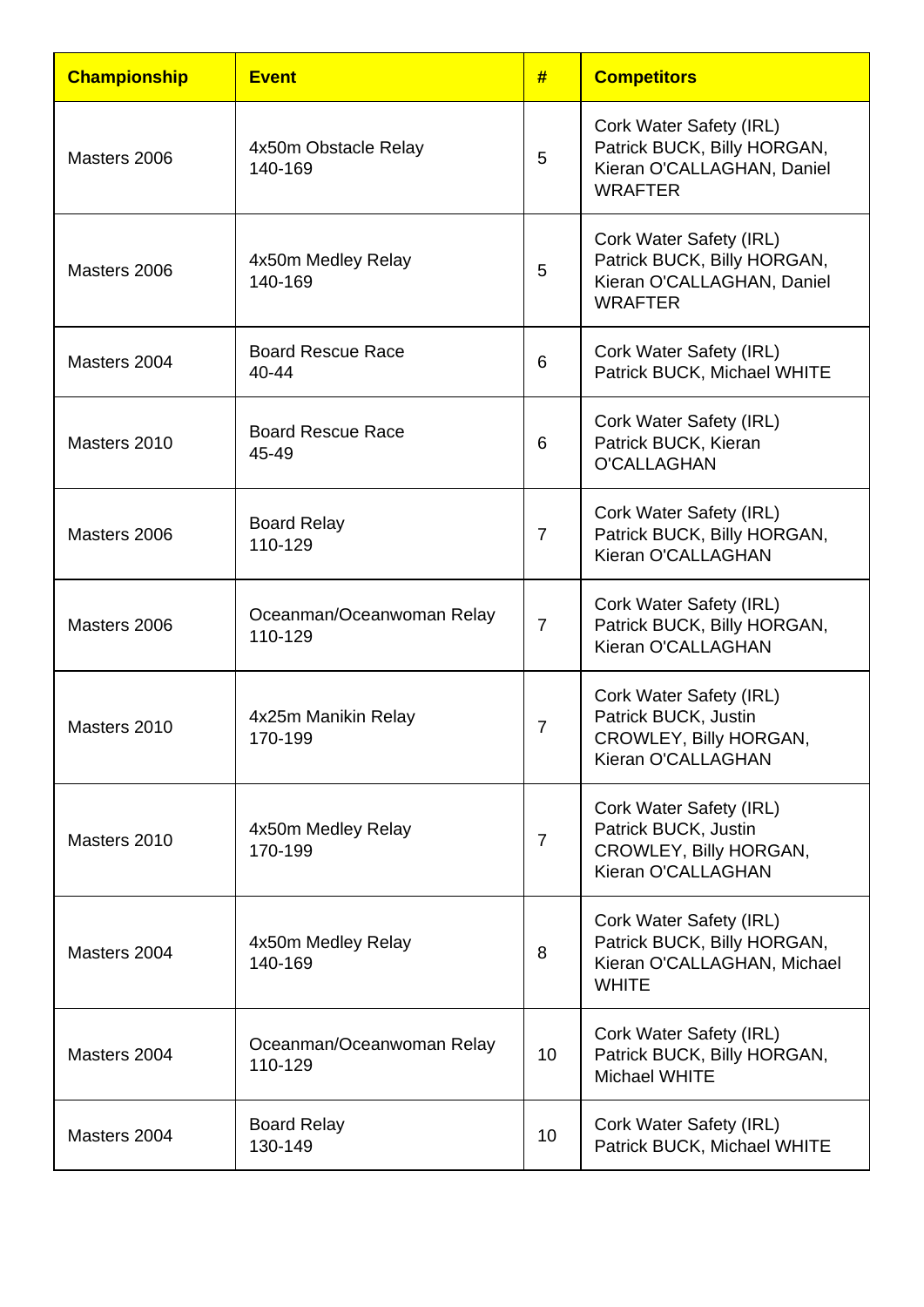| <b>Championship</b> | <b>Event</b>                         | #               | <b>Competitors</b>                                                                                     |
|---------------------|--------------------------------------|-----------------|--------------------------------------------------------------------------------------------------------|
| Masters 2006        | 4x50m Obstacle Relay<br>140-169      | 5               | Cork Water Safety (IRL)<br>Patrick BUCK, Billy HORGAN,<br>Kieran O'CALLAGHAN, Daniel<br><b>WRAFTER</b> |
| Masters 2006        | 4x50m Medley Relay<br>140-169        | 5               | Cork Water Safety (IRL)<br>Patrick BUCK, Billy HORGAN,<br>Kieran O'CALLAGHAN, Daniel<br><b>WRAFTER</b> |
| Masters 2004        | <b>Board Rescue Race</b><br>40-44    | 6               | Cork Water Safety (IRL)<br>Patrick BUCK, Michael WHITE                                                 |
| Masters 2010        | <b>Board Rescue Race</b><br>45-49    | 6               | Cork Water Safety (IRL)<br>Patrick BUCK, Kieran<br><b>O'CALLAGHAN</b>                                  |
| Masters 2006        | <b>Board Relay</b><br>110-129        | $\overline{7}$  | Cork Water Safety (IRL)<br>Patrick BUCK, Billy HORGAN,<br>Kieran O'CALLAGHAN                           |
| Masters 2006        | Oceanman/Oceanwoman Relay<br>110-129 | $\overline{7}$  | Cork Water Safety (IRL)<br>Patrick BUCK, Billy HORGAN,<br>Kieran O'CALLAGHAN                           |
| Masters 2010        | 4x25m Manikin Relay<br>170-199       | 7               | Cork Water Safety (IRL)<br>Patrick BUCK, Justin<br>CROWLEY, Billy HORGAN,<br>Kieran O'CALLAGHAN        |
| Masters 2010        | 4x50m Medley Relay<br>170-199        | $\overline{7}$  | Cork Water Safety (IRL)<br>Patrick BUCK, Justin<br>CROWLEY, Billy HORGAN,<br>Kieran O'CALLAGHAN        |
| Masters 2004        | 4x50m Medley Relay<br>140-169        | 8               | Cork Water Safety (IRL)<br>Patrick BUCK, Billy HORGAN,<br>Kieran O'CALLAGHAN, Michael<br><b>WHITE</b>  |
| Masters 2004        | Oceanman/Oceanwoman Relay<br>110-129 | 10              | Cork Water Safety (IRL)<br>Patrick BUCK, Billy HORGAN,<br><b>Michael WHITE</b>                         |
| Masters 2004        | <b>Board Relay</b><br>130-149        | 10 <sup>°</sup> | Cork Water Safety (IRL)<br>Patrick BUCK, Michael WHITE                                                 |